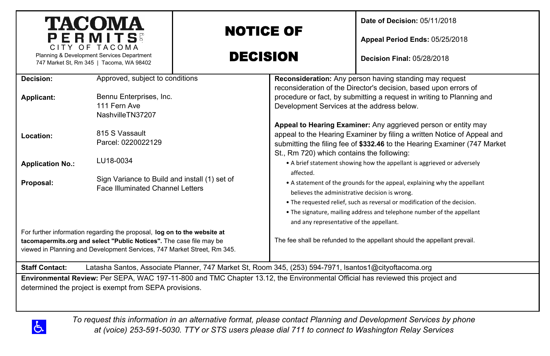|                                                                                                                                                                                                                            | <b>TACOMA</b><br>PERMITS                                                                       | <b>NOTICE OF</b> |                                                                                                                                                                                                                                                                                                                                             | Date of Decision: 05/11/2018<br>Appeal Period Ends: 05/25/2018          |  |  |  |  |
|----------------------------------------------------------------------------------------------------------------------------------------------------------------------------------------------------------------------------|------------------------------------------------------------------------------------------------|------------------|---------------------------------------------------------------------------------------------------------------------------------------------------------------------------------------------------------------------------------------------------------------------------------------------------------------------------------------------|-------------------------------------------------------------------------|--|--|--|--|
| CITY OF TACOMA<br>Planning & Development Services Department<br>747 Market St, Rm 345   Tacoma, WA 98402                                                                                                                   |                                                                                                | <b>DECISION</b>  |                                                                                                                                                                                                                                                                                                                                             | <b>Decision Final: 05/28/2018</b>                                       |  |  |  |  |
| Decision:<br>Applicant:                                                                                                                                                                                                    | Approved, subject to conditions<br>Bennu Enterprises, Inc.<br>111 Fern Ave<br>NashvilleTN37207 |                  | Reconsideration: Any person having standing may request<br>reconsideration of the Director's decision, based upon errors of<br>procedure or fact, by submitting a request in writing to Planning and<br>Development Services at the address below.                                                                                          |                                                                         |  |  |  |  |
| Location:                                                                                                                                                                                                                  | 815 S Vassault<br>Parcel: 0220022129                                                           |                  | Appeal to Hearing Examiner: Any aggrieved person or entity may<br>appeal to the Hearing Examiner by filing a written Notice of Appeal and<br>submitting the filing fee of \$332.46 to the Hearing Examiner (747 Market<br>St., Rm 720) which contains the following:                                                                        |                                                                         |  |  |  |  |
| <b>Application No.:</b>                                                                                                                                                                                                    | LU18-0034                                                                                      |                  |                                                                                                                                                                                                                                                                                                                                             | • A brief statement showing how the appellant is aggrieved or adversely |  |  |  |  |
| Proposal:                                                                                                                                                                                                                  | Sign Variance to Build and install (1) set of<br><b>Face Illuminated Channel Letters</b>       |                  | affected.<br>• A statement of the grounds for the appeal, explaining why the appellant<br>believes the administrative decision is wrong.<br>. The requested relief, such as reversal or modification of the decision.<br>. The signature, mailing address and telephone number of the appellant<br>and any representative of the appellant. |                                                                         |  |  |  |  |
| For further information regarding the proposal, log on to the website at<br>tacomapermits.org and select "Public Notices". The case file may be<br>viewed in Planning and Development Services, 747 Market Street, Rm 345. |                                                                                                |                  | The fee shall be refunded to the appellant should the appellant prevail.                                                                                                                                                                                                                                                                    |                                                                         |  |  |  |  |
| Latasha Santos, Associate Planner, 747 Market St, Room 345, (253) 594-7971, Isantos1@cityoftacoma.org<br><b>Staff Contact:</b>                                                                                             |                                                                                                |                  |                                                                                                                                                                                                                                                                                                                                             |                                                                         |  |  |  |  |
| Environmental Review: Per SEPA, WAC 197-11-800 and TMC Chapter 13.12, the Environmental Official has reviewed this project and<br>determined the project is exempt from SEPA provisions.                                   |                                                                                                |                  |                                                                                                                                                                                                                                                                                                                                             |                                                                         |  |  |  |  |
| To request this information in an alternative format, please contact Planning and Development Services by phone                                                                                                            |                                                                                                |                  |                                                                                                                                                                                                                                                                                                                                             |                                                                         |  |  |  |  |

*at (voice) 253-591-5030. TTY or STS users please dial 711 to connect to Washington Relay Services*

 $\Delta$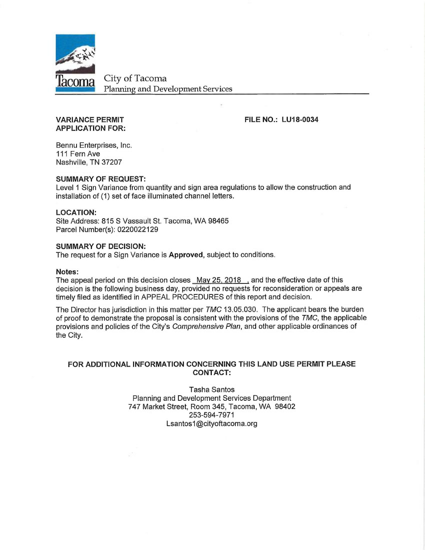

City of Tacoma **Planning and Development Services** 

#### **VARIANCE PERMIT APPLICATION FOR:**

**FILE NO.: LU18-0034** 

Bennu Enterprises, Inc. 111 Fern Ave Nashville, TN 37207

#### **SUMMARY OF REQUEST:**

Level 1 Sign Variance from quantity and sign area regulations to allow the construction and installation of (1) set of face illuminated channel letters.

#### **LOCATION:**

Site Address: 815 S Vassault St. Tacoma, WA 98465 Parcel Number(s): 0220022129

#### **SUMMARY OF DECISION:**

The request for a Sign Variance is Approved, subject to conditions.

#### Notes:

The appeal period on this decision closes May 25, 2018, and the effective date of this decision is the following business day, provided no requests for reconsideration or appeals are timely filed as identified in APPEAL PROCEDURES of this report and decision.

The Director has jurisdiction in this matter per TMC 13.05.030. The applicant bears the burden of proof to demonstrate the proposal is consistent with the provisions of the  $TMC$ , the applicable provisions and policies of the City's Comprehensive Plan, and other applicable ordinances of the City.

#### FOR ADDITIONAL INFORMATION CONCERNING THIS LAND USE PERMIT PLEASE **CONTACT:**

**Tasha Santos** Planning and Development Services Department 747 Market Street, Room 345, Tacoma, WA 98402 253-594-7971 Lsantos1@cityoftacoma.org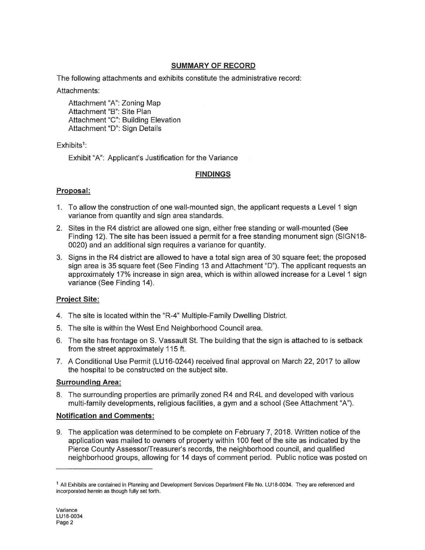# **SUMMARY OF RECORD**

The following attachments and exhibits constitute the administrative record:

Attachments:

Attachment "A": Zoning Map Attachment "B": Site Plan Attachment "C": Building Elevation Attachment "D": Sign Details

# $Exhibits<sup>1</sup>$ :

Exhibit "A": Applicant's Justification for the Variance

# **FINDINGS**

# Proposal:

- 1. To allow the construction of one wall-mounted sign, the applicant requests a Level 1 sign variance from quantity and sign area standards.
- 2. Sites in the R4 district are allowed one sign, either free standing or wall-mounted (See Finding 12). The site has been issued a permit for a free standing monument sign (SIGN18-0020) and an additional sign requires a variance for quantity.
- 3. Signs in the R4 district are allowed to have a total sign area of 30 square feet; the proposed sign area is 35 square feet (See Finding 13 and Attachment "D"). The applicant requests an approximately 17% increase in sign area, which is within allowed increase for a Level 1 sign variance (See Finding 14).

# **Project Site:**

- 4. The site is located within the "R-4" Multiple-Family Dwelling District.
- 5. The site is within the West End Neighborhood Council area.
- 6. The site has frontage on S. Vassault St. The building that the sign is attached to is setback from the street approximately 115 ft.
- 7. A Conditional Use Permit (LU16-0244) received final approval on March 22, 2017 to allow the hospital to be constructed on the subject site.

# **Surrounding Area:**

8. The surrounding properties are primarily zoned R4 and R4L and developed with various multi-family developments, religious facilities, a gym and a school (See Attachment "A").

# **Notification and Comments:**

9. The application was determined to be complete on February 7, 2018. Written notice of the application was mailed to owners of property within 100 feet of the site as indicated by the Pierce County Assessor/Treasurer's records, the neighborhood council, and qualified neighborhood groups, allowing for 14 days of comment period. Public notice was posted on

<sup>&</sup>lt;sup>1</sup> All Exhibits are contained in Planning and Development Services Department File No. LU18-0034. They are referenced and incorporated herein as though fully set forth.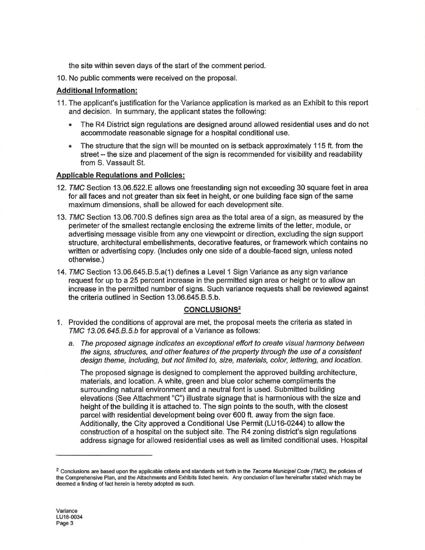the site within seven days of the start of the comment period.

10. No public comments were received on the proposal.

#### **Additional Information:**

- 11. The applicant's justification for the Variance application is marked as an Exhibit to this report and decision. In summary, the applicant states the following:
	- The R4 District sign regulations are designed around allowed residential uses and do not accommodate reasonable signage for a hospital conditional use.
	- The structure that the sign will be mounted on is setback approximately 115 ft. from the street – the size and placement of the sign is recommended for visibility and readability from S. Vassault St.

#### **Applicable Regulations and Policies:**

- 12. TMC Section 13.06.522. E allows one freestanding sign not exceeding 30 square feet in area for all faces and not greater than six feet in height, or one building face sign of the same maximum dimensions, shall be allowed for each development site.
- 13. TMC Section 13.06.700.S defines sign area as the total area of a sign, as measured by the perimeter of the smallest rectangle enclosing the extreme limits of the letter, module, or advertising message visible from any one viewpoint or direction, excluding the sign support structure, architectural embellishments, decorative features, or framework which contains no written or advertising copy. (Includes only one side of a double-faced sign, unless noted otherwise.)
- 14. TMC Section 13.06.645.B.5.a(1) defines a Level 1 Sign Variance as any sign variance request for up to a 25 percent increase in the permitted sign area or height or to allow an increase in the permitted number of signs. Such variance requests shall be reviewed against the criteria outlined in Section 13.06.645.B.5.b.

#### **CONCLUSIONS<sup>2</sup>**

- 1. Provided the conditions of approval are met, the proposal meets the criteria as stated in TMC 13.06.645.B.5.b for approval of a Variance as follows:
	- a. The proposed signage indicates an exceptional effort to create visual harmony between the signs, structures, and other features of the property through the use of a consistent design theme, including, but not limited to, size, materials, color, lettering, and location.

The proposed signage is designed to complement the approved building architecture. materials, and location. A white, green and blue color scheme compliments the surrounding natural environment and a neutral font is used. Submitted building elevations (See Attachment "C") illustrate signage that is harmonious with the size and height of the building it is attached to. The sign points to the south, with the closest parcel with residential development being over 600 ft. away from the sign face. Additionally, the City approved a Conditional Use Permit (LU16-0244) to allow the construction of a hospital on the subject site. The R4 zoning district's sign regulations address signage for allowed residential uses as well as limited conditional uses. Hospital

<sup>&</sup>lt;sup>2</sup> Conclusions are based upon the applicable criteria and standards set forth in the Tacoma Municipal Code (TMC), the policies of the Comprehensive Plan, and the Attachments and Exhibits listed herein. Any conclusion of law hereinafter stated which may be deemed a finding of fact herein is hereby adopted as such.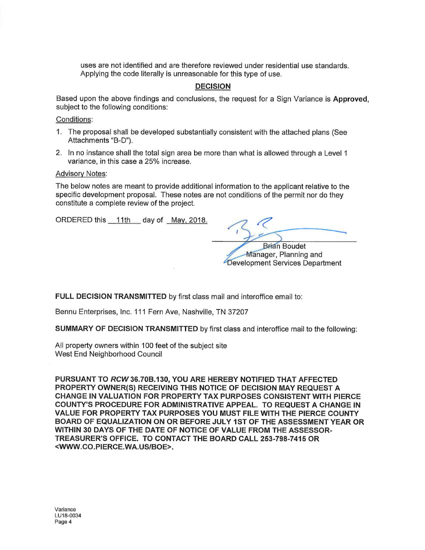uses are not identified and are therefore reviewed under residential use standards. Applying the code literally is unreasonable for this type of use.

### **DECISION**

Based upon the above findings and conclusions, the request for a Sign Variance is Approved. subject to the following conditions:

Conditions:

- 1. The proposal shall be developed substantially consistent with the attached plans (See Attachments "B-D").
- 2. In no instance shall the total sign area be more than what is allowed through a Level 1 variance, in this case a 25% increase.

#### **Advisory Notes:**

The below notes are meant to provide additional information to the applicant relative to the specific development proposal. These notes are not conditions of the permit nor do they constitute a complete review of the project.

ORDERED this 11th day of May, 2018.

**Brian Boudet** 

Manager, Planning and Development Services Department

FULL DECISION TRANSMITTED by first class mail and interoffice email to:

Bennu Enterprises, Inc. 111 Fern Ave, Nashville, TN 37207

**SUMMARY OF DECISION TRANSMITTED by first class and interoffice mail to the following:** 

All property owners within 100 feet of the subject site West End Neighborhood Council

PURSUANT TO RCW 36.70B.130, YOU ARE HEREBY NOTIFIED THAT AFFECTED PROPERTY OWNER(S) RECEIVING THIS NOTICE OF DECISION MAY REQUEST A CHANGE IN VALUATION FOR PROPERTY TAX PURPOSES CONSISTENT WITH PIERCE COUNTY'S PROCEDURE FOR ADMINISTRATIVE APPEAL. TO REQUEST A CHANGE IN VALUE FOR PROPERTY TAX PURPOSES YOU MUST FILE WITH THE PIERCE COUNTY BOARD OF EQUALIZATION ON OR BEFORE JULY 1ST OF THE ASSESSMENT YEAR OR WITHIN 30 DAYS OF THE DATE OF NOTICE OF VALUE FROM THE ASSESSOR-TREASURER'S OFFICE. TO CONTACT THE BOARD CALL 253-798-7415 OR <WWW.CO.PIERCE.WA.US/BOE>.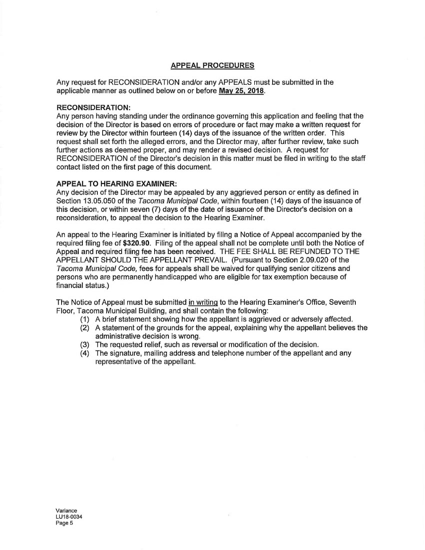#### **APPEAL PROCEDURES**

Any request for RECONSIDERATION and/or any APPEALS must be submitted in the applicable manner as outlined below on or before May 25, 2018.

#### **RECONSIDERATION:**

Any person having standing under the ordinance governing this application and feeling that the decision of the Director is based on errors of procedure or fact may make a written request for review by the Director within fourteen (14) days of the issuance of the written order. This request shall set forth the alleged errors, and the Director may, after further review, take such further actions as deemed proper, and may render a revised decision. A request for RECONSIDERATION of the Director's decision in this matter must be filed in writing to the staff contact listed on the first page of this document.

#### **APPEAL TO HEARING EXAMINER:**

Any decision of the Director may be appealed by any aggrieved person or entity as defined in Section 13.05.050 of the Tacoma Municipal Code, within fourteen (14) days of the issuance of this decision, or within seven (7) days of the date of issuance of the Director's decision on a reconsideration, to appeal the decision to the Hearing Examiner.

An appeal to the Hearing Examiner is initiated by filing a Notice of Appeal accompanied by the required filing fee of \$320.90. Filing of the appeal shall not be complete until both the Notice of Appeal and required filing fee has been received. THE FEE SHALL BE REFUNDED TO THE APPELLANT SHOULD THE APPELLANT PREVAIL. (Pursuant to Section 2.09.020 of the Tacoma Municipal Code, fees for appeals shall be waived for qualifying senior citizens and persons who are permanently handicapped who are eligible for tax exemption because of financial status.)

The Notice of Appeal must be submitted in writing to the Hearing Examiner's Office, Seventh Floor, Tacoma Municipal Building, and shall contain the following:

- (1) A brief statement showing how the appellant is aggrieved or adversely affected.
- (2) A statement of the grounds for the appeal, explaining why the appellant believes the administrative decision is wrong.
- (3) The requested relief, such as reversal or modification of the decision.
- (4) The signature, mailing address and telephone number of the appellant and any representative of the appellant.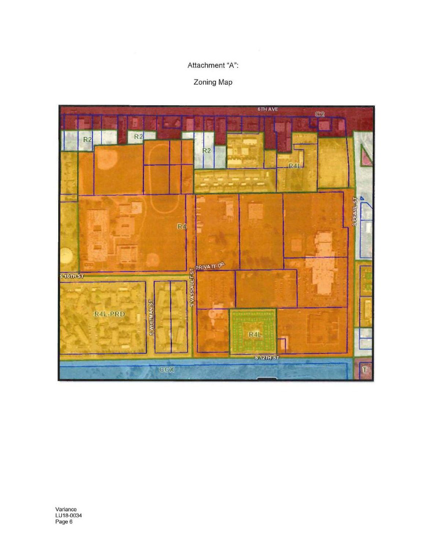# Attachment "A":

# Zoning Map

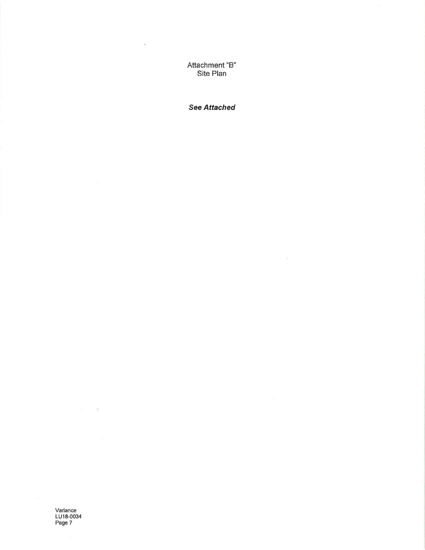Attachment "B" Site Plan

 $\bar{\nu}$ 

**See Attached** 

 $\sim 10$ 

Variance<br>LU18-0034<br>Page 7

 $\sim$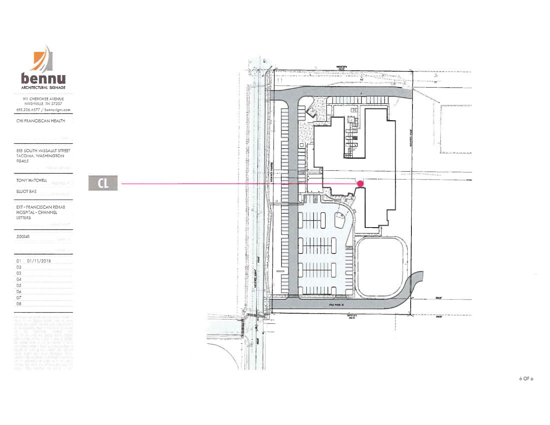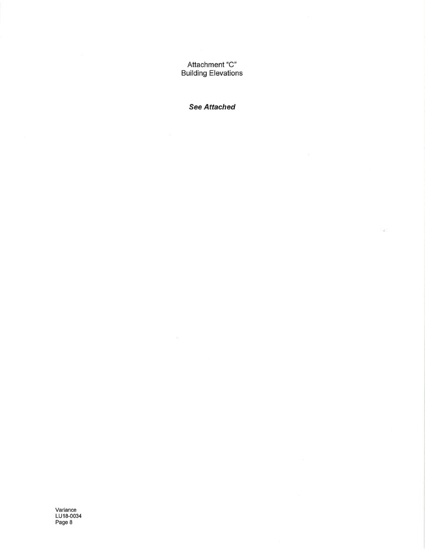Attachment "C" **Building Elevations** 

**See Attached** 

×

Variance<br>LU18-0034<br>Page 8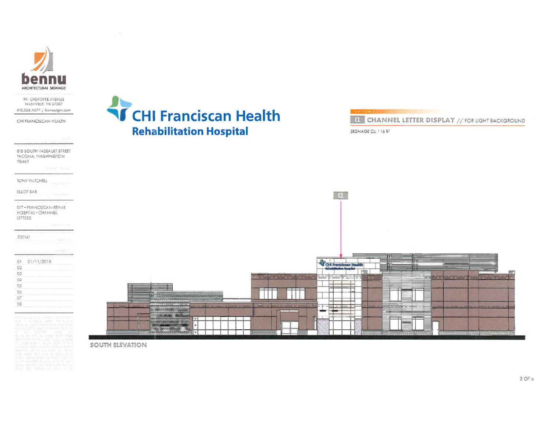

**911 CHEROKEE AVENUE** NASHVILLE, TN 37207 615.226.4577 / bennesigns.com

CHI FRANCISCAN HEALTH

815 SOUTH VASSAULT STREET **TACOMA, WASHINGTON** 98465

TONY HATCHELL

ELLIOT BAE

EXT - FRANCISCAN REHAB HOSPITAL - CHANNEL LETTERS

500141

| O <sub>1</sub> | 01/11/2018 |  |
|----------------|------------|--|
| 02             |            |  |
| 03             |            |  |
| 24             |            |  |
| ΩS             |            |  |
| 06             |            |  |
|                |            |  |
|                |            |  |

# **T CHI Franciscan Health Rehabilitation Hospital**



SIGNAGE CL: 116 ff





3 OF p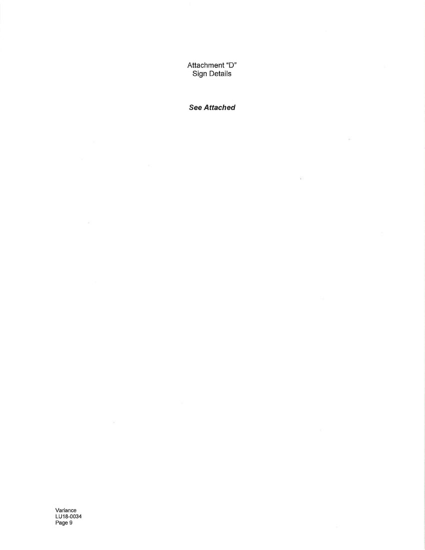Attachment "D" **Sign Details** 

**See Attached** 

¥

範

Variance<br>LU18-0034<br>Page 9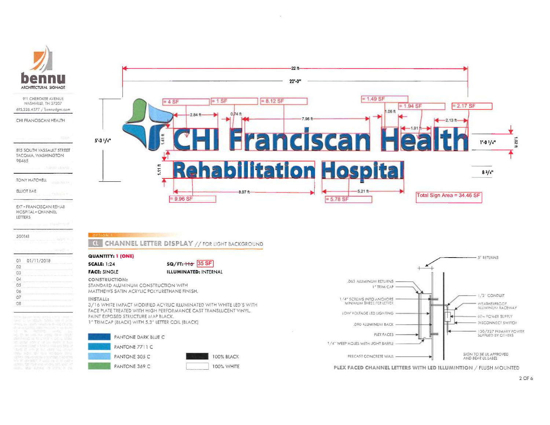

911 CHEROKEE AVENUE NASHVILLE, TN 37207 615,226.4577 / bennusigns.com

CHI FRANCISCAN HEALTH

815 SOUTH VASSAULT STREET TACOMA, WASHINGTON 98465

**TONY HATCHELL** 

ELLIOT BAE

EXT - FRANCISCAN REHAB HOSPITAL - CHANNEL LETTERS

500141  $O1$ 01/11/2018  $O<sub>2</sub>$ 03 04

| 05  |  |  |  |  |
|-----|--|--|--|--|
| 06  |  |  |  |  |
| 27  |  |  |  |  |
| O.8 |  |  |  |  |
|     |  |  |  |  |



#### **4 CHANNEL LETTER DISPLAY // FOR UGHT BACKGROUND**

 $SQ/FT: +16$  35 SF

100% BLACK

100% WHITE

**QUANTITY: 1 (ONE)** 

#### **SCALE: 1:24 FACE: SINGLE**

**ILLUMINATED: INTERNAL** 

**CONSTRUCTION:** STANDARD ALUMINUM CONSTRUCTION WITH MATTHEWS SATIN ACRYLIC POLYURETHANE FINISH.

**INSTALL:** 

**OFTIA** 

3/16 WHITE IMPACT MODIFIED ACYRLIC ILLUMINATED WITH WHITE LED'S WITH FACE PLATE TREATED WITH HIGH PERFORMANCE CAST TRANSLUCENT VINYL. PAINT EXPOSED STRUCTURE MAP BLACK. 1" TRIMCAP (BLACK) WITH 5.3" LETTER COIL (BLACK)





PLEX FACED CHANNEL LETTERS WITH LED ILLUMINTION / FLUSH MOUNTED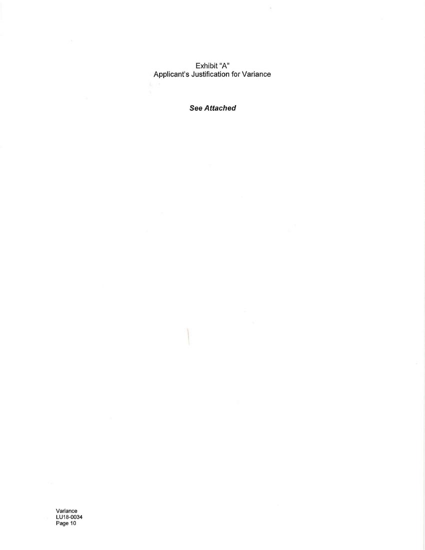Exhibit "A"<br>Applicant's Justification for Variance

 $\bar{\sigma}$ 

**See Attached** 

Variance<br>LU18-0034<br>Page 10